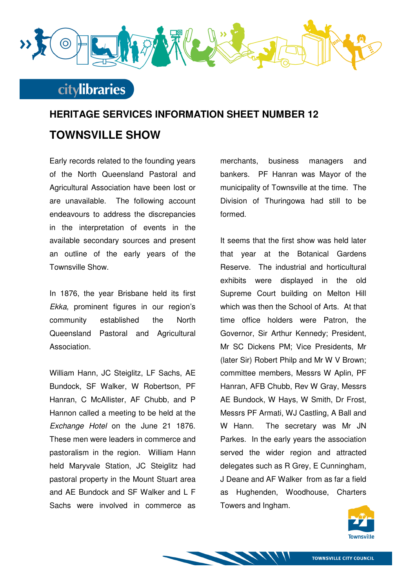

#### **citylibraries**

# **HERITAGE SERVICES INFORMATION SHEET NUMBER 12 TOWNSVILLE SHOW**

Early records related to the founding years of the North Queensland Pastoral and Agricultural Association have been lost or are unavailable. The following account endeavours to address the discrepancies in the interpretation of events in the available secondary sources and present an outline of the early years of the Townsville Show.

In 1876, the year Brisbane held its first Ekka, prominent figures in our region's community established the North Queensland Pastoral and Agricultural Association.

William Hann, JC Steiglitz, LF Sachs, AE Bundock, SF Walker, W Robertson, PF Hanran, C McAllister, AF Chubb, and P Hannon called a meeting to be held at the Exchange Hotel on the June 21 1876. These men were leaders in commerce and pastoralism in the region. William Hann held Maryvale Station, JC Steiglitz had pastoral property in the Mount Stuart area and AE Bundock and SF Walker and L F Sachs were involved in commerce as merchants, business managers and bankers. PF Hanran was Mayor of the municipality of Townsville at the time. The Division of Thuringowa had still to be formed.

It seems that the first show was held later that year at the Botanical Gardens Reserve. The industrial and horticultural exhibits were displayed in the old Supreme Court building on Melton Hill which was then the School of Arts. At that time office holders were Patron, the Governor, Sir Arthur Kennedy; President, Mr SC Dickens PM; Vice Presidents, Mr (later Sir) Robert Philp and Mr W V Brown; committee members, Messrs W Aplin, PF Hanran, AFB Chubb, Rev W Gray, Messrs AE Bundock, W Hays, W Smith, Dr Frost, Messrs PF Armati, WJ Castling, A Ball and W Hann. The secretary was Mr JN Parkes. In the early years the association served the wider region and attracted delegates such as R Grey, E Cunningham, J Deane and AF Walker from as far a field as Hughenden, Woodhouse, Charters Towers and Ingham.

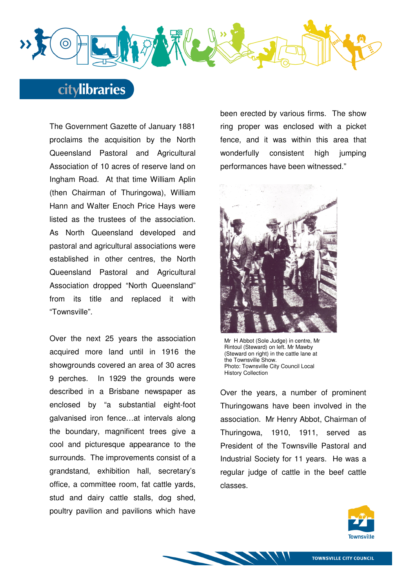

### **citylibraries**

The Government Gazette of January 1881 proclaims the acquisition by the North Queensland Pastoral and Agricultural Association of 10 acres of reserve land on Ingham Road. At that time William Aplin (then Chairman of Thuringowa), William Hann and Walter Enoch Price Hays were listed as the trustees of the association. As North Queensland developed and pastoral and agricultural associations were established in other centres, the North Queensland Pastoral and Agricultural Association dropped "North Queensland" from its title and replaced it with "Townsville".

Over the next 25 years the association acquired more land until in 1916 the showgrounds covered an area of 30 acres 9 perches. In 1929 the grounds were described in a Brisbane newspaper as enclosed by "a substantial eight-foot galvanised iron fence…at intervals along the boundary, magnificent trees give a cool and picturesque appearance to the surrounds. The improvements consist of a grandstand, exhibition hall, secretary's office, a committee room, fat cattle yards, stud and dairy cattle stalls, dog shed, poultry pavilion and pavilions which have been erected by various firms. The show ring proper was enclosed with a picket fence, and it was within this area that wonderfully consistent high jumping performances have been witnessed."



Mr H Abbot (Sole Judge) in centre, Mr Rintoul (Steward) on left. Mr Mawby (Steward on right) in the cattle lane at the Townsville Show. Photo: Townsville City Council Local History Collection

Over the years, a number of prominent Thuringowans have been involved in the association. Mr Henry Abbot, Chairman of Thuringowa, 1910, 1911, served as President of the Townsville Pastoral and Industrial Society for 11 years. He was a regular judge of cattle in the beef cattle classes.